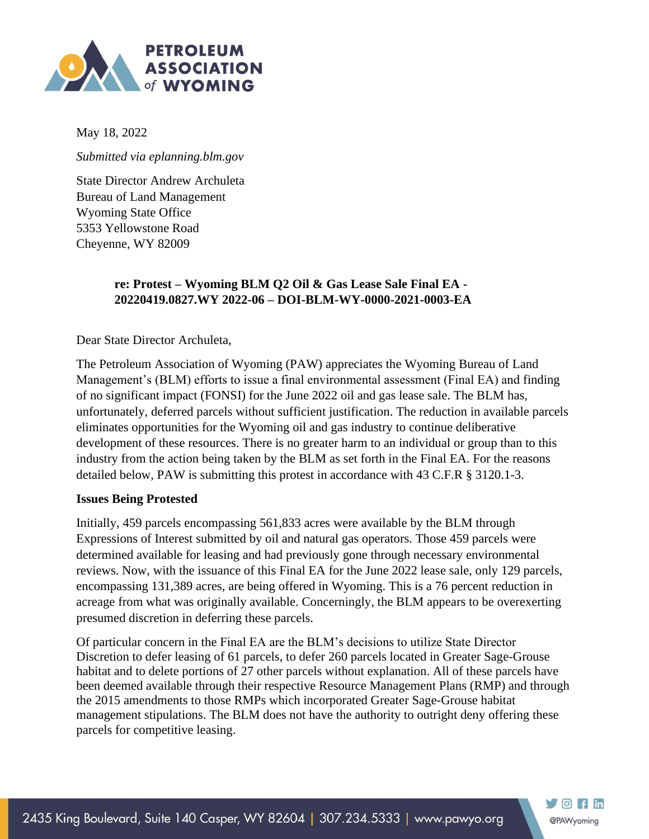

May 18, 2022

*Submitted via eplanning.blm.gov*

State Director Andrew Archuleta Bureau of Land Management Wyoming State Office 5353 Yellowstone Road Cheyenne, WY 82009

### **re: Protest – Wyoming BLM Q2 Oil & Gas Lease Sale Final EA - 20220419.0827.WY 2022-06 – DOI-BLM-WY-0000-2021-0003-EA**

Dear State Director Archuleta,

The Petroleum Association of Wyoming (PAW) appreciates the Wyoming Bureau of Land Management's (BLM) efforts to issue a final environmental assessment (Final EA) and finding of no significant impact (FONSI) for the June 2022 oil and gas lease sale. The BLM has, unfortunately, deferred parcels without sufficient justification. The reduction in available parcels eliminates opportunities for the Wyoming oil and gas industry to continue deliberative development of these resources. There is no greater harm to an individual or group than to this industry from the action being taken by the BLM as set forth in the Final EA. For the reasons detailed below, PAW is submitting this protest in accordance with 43 C.F.R § 3120.1-3.

#### **Issues Being Protested**

Initially, 459 parcels encompassing 561,833 acres were available by the BLM through Expressions of Interest submitted by oil and natural gas operators. Those 459 parcels were determined available for leasing and had previously gone through necessary environmental reviews. Now, with the issuance of this Final EA for the June 2022 lease sale, only 129 parcels, encompassing 131,389 acres, are being offered in Wyoming. This is a 76 percent reduction in acreage from what was originally available. Concerningly, the BLM appears to be overexerting presumed discretion in deferring these parcels.

Of particular concern in the Final EA are the BLM's decisions to utilize State Director Discretion to defer leasing of 61 parcels, to defer 260 parcels located in Greater Sage-Grouse habitat and to delete portions of 27 other parcels without explanation. All of these parcels have been deemed available through their respective Resource Management Plans (RMP) and through the 2015 amendments to those RMPs which incorporated Greater Sage-Grouse habitat management stipulations. The BLM does not have the authority to outright deny offering these parcels for competitive leasing.

 $\bigtriangledown$   $\odot$   $\bigtriangledown$   $\bigtriangledown$   $\bigtriangledown$ 

@PAWyoming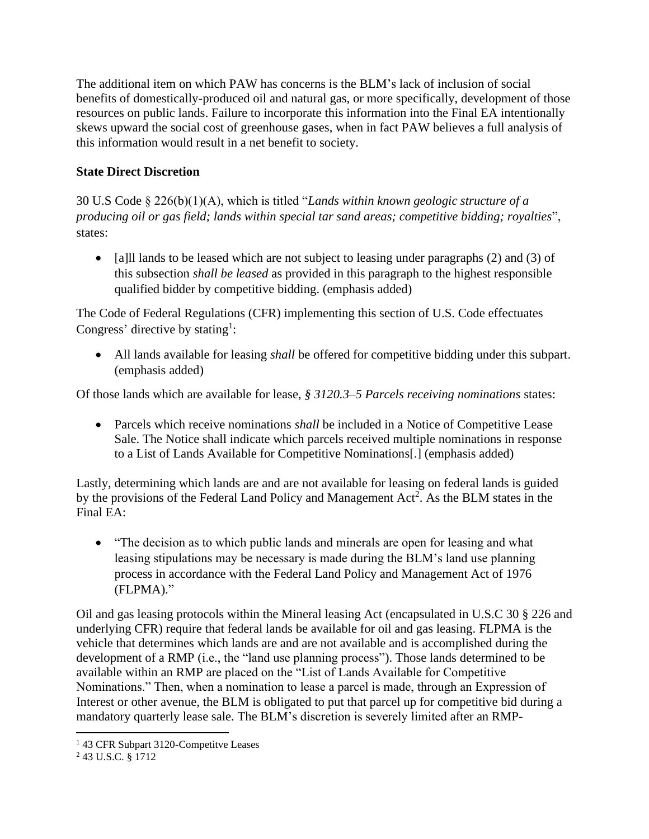The additional item on which PAW has concerns is the BLM's lack of inclusion of social benefits of domestically-produced oil and natural gas, or more specifically, development of those resources on public lands. Failure to incorporate this information into the Final EA intentionally skews upward the social cost of greenhouse gases, when in fact PAW believes a full analysis of this information would result in a net benefit to society.

### **State Direct Discretion**

30 U.S Code § 226(b)(1)(A), which is titled "*Lands within known geologic structure of a producing oil or gas field; lands within special tar sand areas; competitive bidding; royalties*", states:

• [a] lands to be leased which are not subject to leasing under paragraphs (2) and (3) of this subsection *shall be leased* as provided in this paragraph to the highest responsible qualified bidder by competitive bidding. (emphasis added)

The Code of Federal Regulations (CFR) implementing this section of U.S. Code effectuates Congress' directive by stating<sup>1</sup>:

• All lands available for leasing *shall* be offered for competitive bidding under this subpart. (emphasis added)

Of those lands which are available for lease, *§ 3120.3–5 Parcels receiving nominations* states:

• Parcels which receive nominations *shall* be included in a Notice of Competitive Lease Sale. The Notice shall indicate which parcels received multiple nominations in response to a List of Lands Available for Competitive Nominations[.] (emphasis added)

Lastly, determining which lands are and are not available for leasing on federal lands is guided by the provisions of the Federal Land Policy and Management Act<sup>2</sup>. As the BLM states in the Final EA:

• "The decision as to which public lands and minerals are open for leasing and what leasing stipulations may be necessary is made during the BLM's land use planning process in accordance with the Federal Land Policy and Management Act of 1976 (FLPMA)."

Oil and gas leasing protocols within the Mineral leasing Act (encapsulated in U.S.C 30 § 226 and underlying CFR) require that federal lands be available for oil and gas leasing. FLPMA is the vehicle that determines which lands are and are not available and is accomplished during the development of a RMP (i.e., the "land use planning process"). Those lands determined to be available within an RMP are placed on the "List of Lands Available for Competitive Nominations." Then, when a nomination to lease a parcel is made, through an Expression of Interest or other avenue, the BLM is obligated to put that parcel up for competitive bid during a mandatory quarterly lease sale. The BLM's discretion is severely limited after an RMP-

<sup>1</sup> 43 CFR Subpart 3120-Competitve Leases

<sup>&</sup>lt;sup>2</sup> 43 U.S.C. § 1712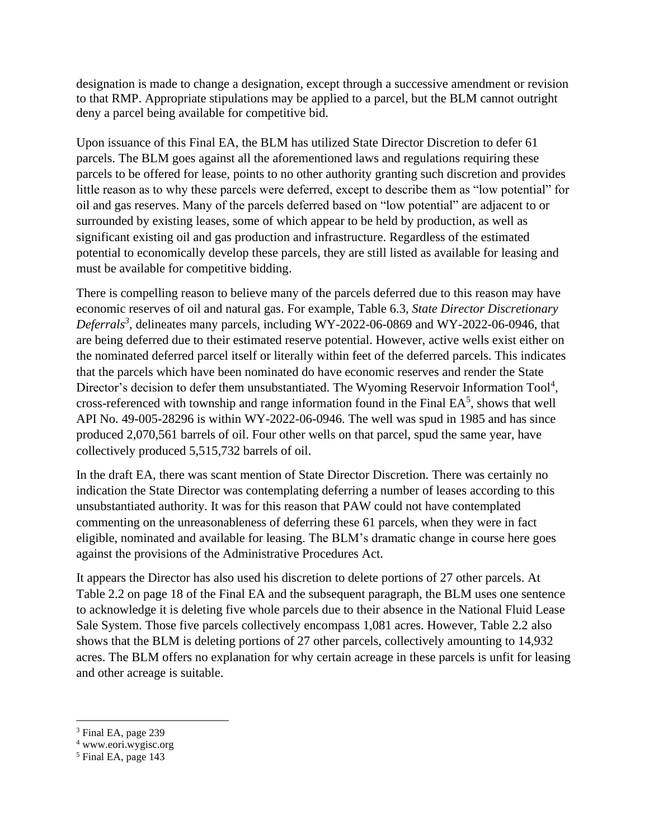designation is made to change a designation, except through a successive amendment or revision to that RMP. Appropriate stipulations may be applied to a parcel, but the BLM cannot outright deny a parcel being available for competitive bid.

Upon issuance of this Final EA, the BLM has utilized State Director Discretion to defer 61 parcels. The BLM goes against all the aforementioned laws and regulations requiring these parcels to be offered for lease, points to no other authority granting such discretion and provides little reason as to why these parcels were deferred, except to describe them as "low potential" for oil and gas reserves. Many of the parcels deferred based on "low potential" are adjacent to or surrounded by existing leases, some of which appear to be held by production, as well as significant existing oil and gas production and infrastructure. Regardless of the estimated potential to economically develop these parcels, they are still listed as available for leasing and must be available for competitive bidding.

There is compelling reason to believe many of the parcels deferred due to this reason may have economic reserves of oil and natural gas. For example, Table 6.3, *State Director Discretionary Deferrals<sup>3</sup>* , delineates many parcels, including WY-2022-06-0869 and WY-2022-06-0946, that are being deferred due to their estimated reserve potential. However, active wells exist either on the nominated deferred parcel itself or literally within feet of the deferred parcels. This indicates that the parcels which have been nominated do have economic reserves and render the State Director's decision to defer them unsubstantiated. The Wyoming Reservoir Information Tool<sup>4</sup>, cross-referenced with township and range information found in the Final  $EA<sup>5</sup>$ , shows that well API No. 49-005-28296 is within WY-2022-06-0946. The well was spud in 1985 and has since produced 2,070,561 barrels of oil. Four other wells on that parcel, spud the same year, have collectively produced 5,515,732 barrels of oil.

In the draft EA, there was scant mention of State Director Discretion. There was certainly no indication the State Director was contemplating deferring a number of leases according to this unsubstantiated authority. It was for this reason that PAW could not have contemplated commenting on the unreasonableness of deferring these 61 parcels, when they were in fact eligible, nominated and available for leasing. The BLM's dramatic change in course here goes against the provisions of the Administrative Procedures Act.

It appears the Director has also used his discretion to delete portions of 27 other parcels. At Table 2.2 on page 18 of the Final EA and the subsequent paragraph, the BLM uses one sentence to acknowledge it is deleting five whole parcels due to their absence in the National Fluid Lease Sale System. Those five parcels collectively encompass 1,081 acres. However, Table 2.2 also shows that the BLM is deleting portions of 27 other parcels, collectively amounting to 14,932 acres. The BLM offers no explanation for why certain acreage in these parcels is unfit for leasing and other acreage is suitable.

<sup>&</sup>lt;sup>3</sup> Final EA, page 239

<sup>4</sup> www.eori.wygisc.org

 $<sup>5</sup>$  Final EA, page 143</sup>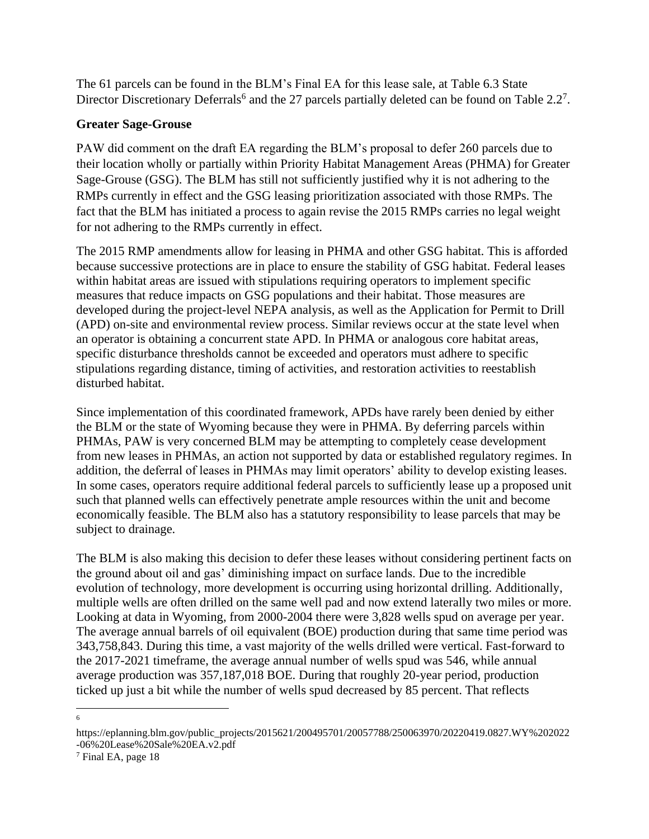The 61 parcels can be found in the BLM's Final EA for this lease sale, at Table 6.3 State Director Discretionary Deferrals<sup>6</sup> and the 27 parcels partially deleted can be found on Table  $2.2<sup>7</sup>$ .

#### **Greater Sage-Grouse**

PAW did comment on the draft EA regarding the BLM's proposal to defer 260 parcels due to their location wholly or partially within Priority Habitat Management Areas (PHMA) for Greater Sage-Grouse (GSG). The BLM has still not sufficiently justified why it is not adhering to the RMPs currently in effect and the GSG leasing prioritization associated with those RMPs. The fact that the BLM has initiated a process to again revise the 2015 RMPs carries no legal weight for not adhering to the RMPs currently in effect.

The 2015 RMP amendments allow for leasing in PHMA and other GSG habitat. This is afforded because successive protections are in place to ensure the stability of GSG habitat. Federal leases within habitat areas are issued with stipulations requiring operators to implement specific measures that reduce impacts on GSG populations and their habitat. Those measures are developed during the project-level NEPA analysis, as well as the Application for Permit to Drill (APD) on-site and environmental review process. Similar reviews occur at the state level when an operator is obtaining a concurrent state APD. In PHMA or analogous core habitat areas, specific disturbance thresholds cannot be exceeded and operators must adhere to specific stipulations regarding distance, timing of activities, and restoration activities to reestablish disturbed habitat.

Since implementation of this coordinated framework, APDs have rarely been denied by either the BLM or the state of Wyoming because they were in PHMA. By deferring parcels within PHMAs, PAW is very concerned BLM may be attempting to completely cease development from new leases in PHMAs, an action not supported by data or established regulatory regimes. In addition, the deferral of leases in PHMAs may limit operators' ability to develop existing leases. In some cases, operators require additional federal parcels to sufficiently lease up a proposed unit such that planned wells can effectively penetrate ample resources within the unit and become economically feasible. The BLM also has a statutory responsibility to lease parcels that may be subject to drainage.

The BLM is also making this decision to defer these leases without considering pertinent facts on the ground about oil and gas' diminishing impact on surface lands. Due to the incredible evolution of technology, more development is occurring using horizontal drilling. Additionally, multiple wells are often drilled on the same well pad and now extend laterally two miles or more. Looking at data in Wyoming, from 2000-2004 there were 3,828 wells spud on average per year. The average annual barrels of oil equivalent (BOE) production during that same time period was 343,758,843. During this time, a vast majority of the wells drilled were vertical. Fast-forward to the 2017-2021 timeframe, the average annual number of wells spud was 546, while annual average production was 357,187,018 BOE. During that roughly 20-year period, production ticked up just a bit while the number of wells spud decreased by 85 percent. That reflects

6

https://eplanning.blm.gov/public\_projects/2015621/200495701/20057788/250063970/20220419.0827.WY%202022 -06%20Lease%20Sale%20EA.v2.pdf

<sup>7</sup> Final EA, page 18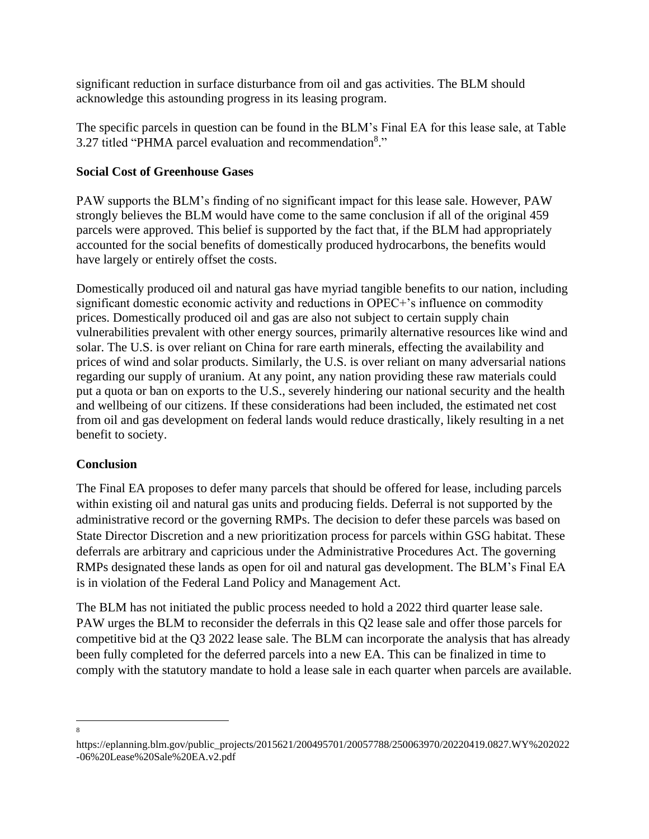significant reduction in surface disturbance from oil and gas activities. The BLM should acknowledge this astounding progress in its leasing program.

The specific parcels in question can be found in the BLM's Final EA for this lease sale, at Table 3.27 titled "PHMA parcel evaluation and recommendation<sup>8</sup>."

### **Social Cost of Greenhouse Gases**

PAW supports the BLM's finding of no significant impact for this lease sale. However, PAW strongly believes the BLM would have come to the same conclusion if all of the original 459 parcels were approved. This belief is supported by the fact that, if the BLM had appropriately accounted for the social benefits of domestically produced hydrocarbons, the benefits would have largely or entirely offset the costs.

Domestically produced oil and natural gas have myriad tangible benefits to our nation, including significant domestic economic activity and reductions in OPEC+'s influence on commodity prices. Domestically produced oil and gas are also not subject to certain supply chain vulnerabilities prevalent with other energy sources, primarily alternative resources like wind and solar. The U.S. is over reliant on China for rare earth minerals, effecting the availability and prices of wind and solar products. Similarly, the U.S. is over reliant on many adversarial nations regarding our supply of uranium. At any point, any nation providing these raw materials could put a quota or ban on exports to the U.S., severely hindering our national security and the health and wellbeing of our citizens. If these considerations had been included, the estimated net cost from oil and gas development on federal lands would reduce drastically, likely resulting in a net benefit to society.

## **Conclusion**

The Final EA proposes to defer many parcels that should be offered for lease, including parcels within existing oil and natural gas units and producing fields. Deferral is not supported by the administrative record or the governing RMPs. The decision to defer these parcels was based on State Director Discretion and a new prioritization process for parcels within GSG habitat. These deferrals are arbitrary and capricious under the Administrative Procedures Act. The governing RMPs designated these lands as open for oil and natural gas development. The BLM's Final EA is in violation of the Federal Land Policy and Management Act.

The BLM has not initiated the public process needed to hold a 2022 third quarter lease sale. PAW urges the BLM to reconsider the deferrals in this Q2 lease sale and offer those parcels for competitive bid at the Q3 2022 lease sale. The BLM can incorporate the analysis that has already been fully completed for the deferred parcels into a new EA. This can be finalized in time to comply with the statutory mandate to hold a lease sale in each quarter when parcels are available.

8

https://eplanning.blm.gov/public\_projects/2015621/200495701/20057788/250063970/20220419.0827.WY%202022 -06%20Lease%20Sale%20EA.v2.pdf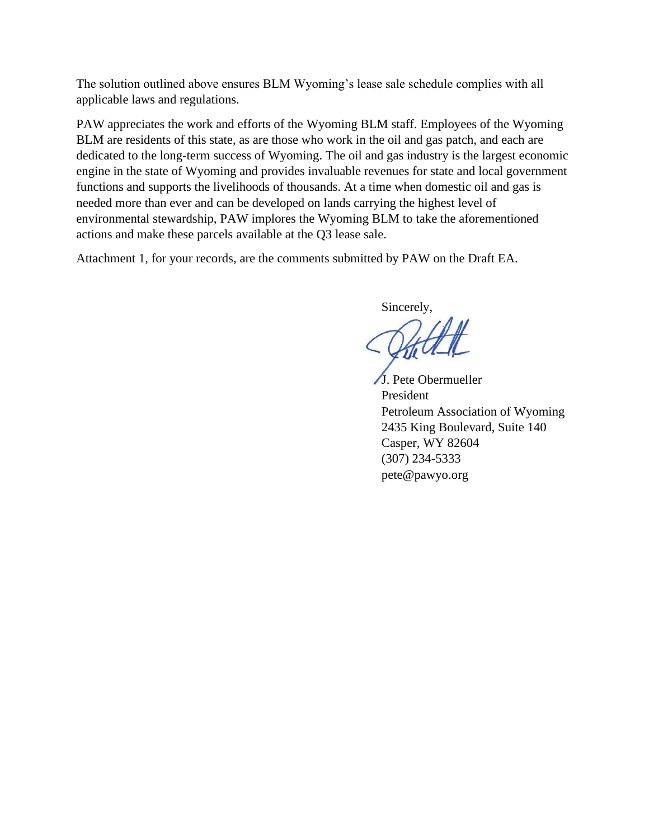The solution outlined above ensures BLM Wyoming's lease sale schedule complies with all applicable laws and regulations.

PAW appreciates the work and efforts of the Wyoming BLM staff. Employees of the Wyoming BLM are residents of this state, as are those who work in the oil and gas patch, and each are dedicated to the long-term success of Wyoming. The oil and gas industry is the largest economic engine in the state of Wyoming and provides invaluable revenues for state and local government functions and supports the livelihoods of thousands. At a time when domestic oil and gas is needed more than ever and can be developed on lands carrying the highest level of environmental stewardship, PAW implores the Wyoming BLM to take the aforementioned actions and make these parcels available at the Q3 lease sale.

Attachment 1, for your records, are the comments submitted by PAW on the Draft EA.

Sincerely,

J. Pete Obermueller President Petroleum Association of Wyoming 2435 King Boulevard, Suite 140 Casper, WY 82604 (307) 234-5333 pete@pawyo.org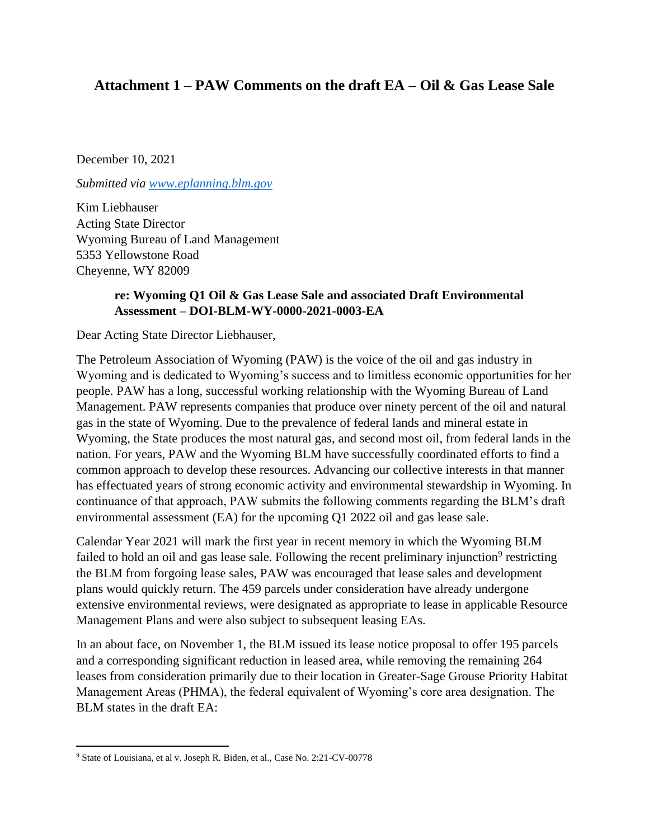# **Attachment 1 – PAW Comments on the draft EA – Oil & Gas Lease Sale**

December 10, 2021

*Submitted via [www.eplanning.blm.gov](http://www.eplanning.blm.gov/)*

Kim Liebhauser Acting State Director Wyoming Bureau of Land Management 5353 Yellowstone Road Cheyenne, WY 82009

### **re: Wyoming Q1 Oil & Gas Lease Sale and associated Draft Environmental Assessment – DOI-BLM-WY-0000-2021-0003-EA**

Dear Acting State Director Liebhauser,

The Petroleum Association of Wyoming (PAW) is the voice of the oil and gas industry in Wyoming and is dedicated to Wyoming's success and to limitless economic opportunities for her people. PAW has a long, successful working relationship with the Wyoming Bureau of Land Management. PAW represents companies that produce over ninety percent of the oil and natural gas in the state of Wyoming. Due to the prevalence of federal lands and mineral estate in Wyoming, the State produces the most natural gas, and second most oil, from federal lands in the nation. For years, PAW and the Wyoming BLM have successfully coordinated efforts to find a common approach to develop these resources. Advancing our collective interests in that manner has effectuated years of strong economic activity and environmental stewardship in Wyoming. In continuance of that approach, PAW submits the following comments regarding the BLM's draft environmental assessment (EA) for the upcoming Q1 2022 oil and gas lease sale.

Calendar Year 2021 will mark the first year in recent memory in which the Wyoming BLM failed to hold an oil and gas lease sale. Following the recent preliminary injunction<sup>9</sup> restricting the BLM from forgoing lease sales, PAW was encouraged that lease sales and development plans would quickly return. The 459 parcels under consideration have already undergone extensive environmental reviews, were designated as appropriate to lease in applicable Resource Management Plans and were also subject to subsequent leasing EAs.

In an about face, on November 1, the BLM issued its lease notice proposal to offer 195 parcels and a corresponding significant reduction in leased area, while removing the remaining 264 leases from consideration primarily due to their location in Greater-Sage Grouse Priority Habitat Management Areas (PHMA), the federal equivalent of Wyoming's core area designation. The BLM states in the draft EA:

<sup>9</sup> State of Louisiana, et al v. Joseph R. Biden, et al., Case No. 2:21-CV-00778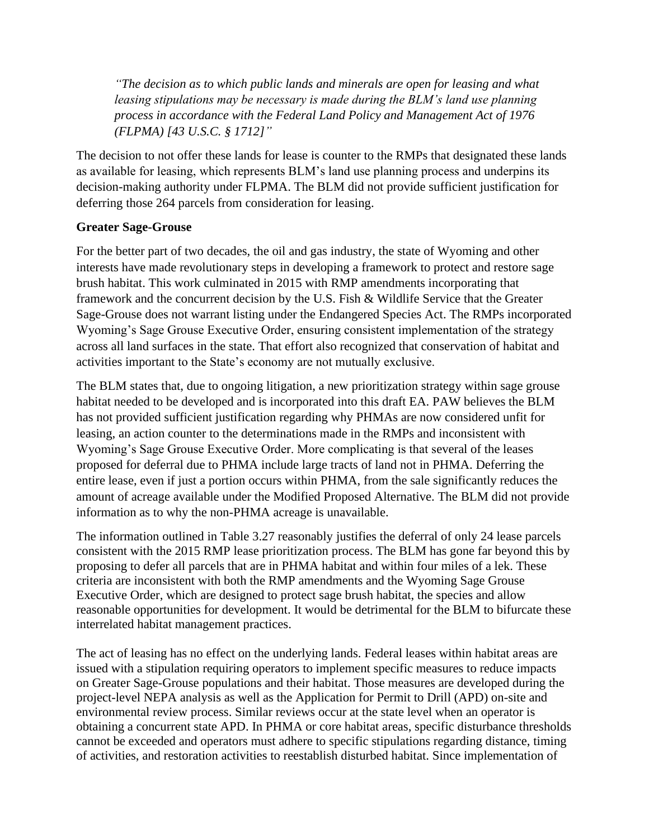*"The decision as to which public lands and minerals are open for leasing and what leasing stipulations may be necessary is made during the BLM's land use planning process in accordance with the Federal Land Policy and Management Act of 1976 (FLPMA) [43 U.S.C. § 1712]"*

The decision to not offer these lands for lease is counter to the RMPs that designated these lands as available for leasing, which represents BLM's land use planning process and underpins its decision-making authority under FLPMA. The BLM did not provide sufficient justification for deferring those 264 parcels from consideration for leasing.

### **Greater Sage-Grouse**

For the better part of two decades, the oil and gas industry, the state of Wyoming and other interests have made revolutionary steps in developing a framework to protect and restore sage brush habitat. This work culminated in 2015 with RMP amendments incorporating that framework and the concurrent decision by the U.S. Fish & Wildlife Service that the Greater Sage-Grouse does not warrant listing under the Endangered Species Act. The RMPs incorporated Wyoming's Sage Grouse Executive Order, ensuring consistent implementation of the strategy across all land surfaces in the state. That effort also recognized that conservation of habitat and activities important to the State's economy are not mutually exclusive.

The BLM states that, due to ongoing litigation, a new prioritization strategy within sage grouse habitat needed to be developed and is incorporated into this draft EA. PAW believes the BLM has not provided sufficient justification regarding why PHMAs are now considered unfit for leasing, an action counter to the determinations made in the RMPs and inconsistent with Wyoming's Sage Grouse Executive Order. More complicating is that several of the leases proposed for deferral due to PHMA include large tracts of land not in PHMA. Deferring the entire lease, even if just a portion occurs within PHMA, from the sale significantly reduces the amount of acreage available under the Modified Proposed Alternative. The BLM did not provide information as to why the non-PHMA acreage is unavailable.

The information outlined in Table 3.27 reasonably justifies the deferral of only 24 lease parcels consistent with the 2015 RMP lease prioritization process. The BLM has gone far beyond this by proposing to defer all parcels that are in PHMA habitat and within four miles of a lek. These criteria are inconsistent with both the RMP amendments and the Wyoming Sage Grouse Executive Order, which are designed to protect sage brush habitat, the species and allow reasonable opportunities for development. It would be detrimental for the BLM to bifurcate these interrelated habitat management practices.

The act of leasing has no effect on the underlying lands. Federal leases within habitat areas are issued with a stipulation requiring operators to implement specific measures to reduce impacts on Greater Sage-Grouse populations and their habitat. Those measures are developed during the project-level NEPA analysis as well as the Application for Permit to Drill (APD) on-site and environmental review process. Similar reviews occur at the state level when an operator is obtaining a concurrent state APD. In PHMA or core habitat areas, specific disturbance thresholds cannot be exceeded and operators must adhere to specific stipulations regarding distance, timing of activities, and restoration activities to reestablish disturbed habitat. Since implementation of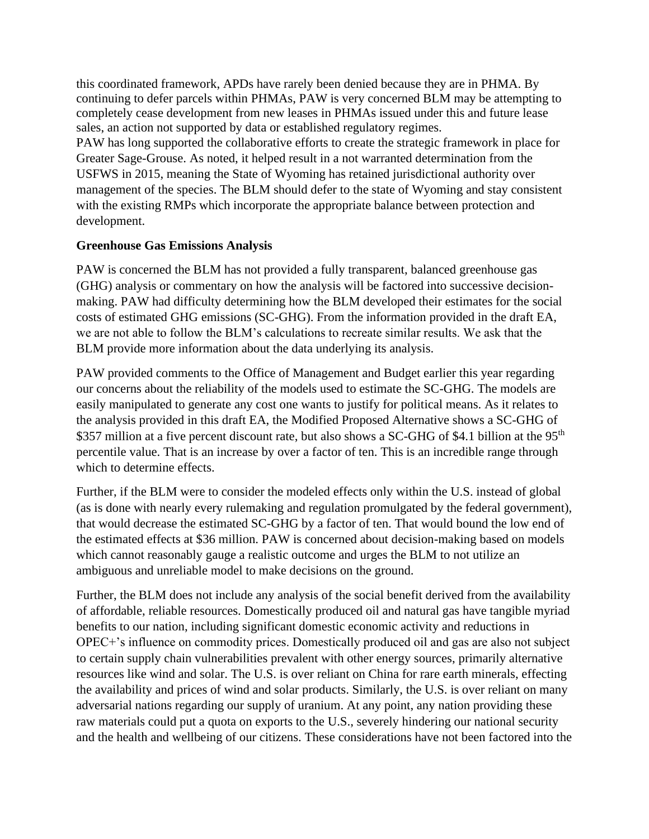this coordinated framework, APDs have rarely been denied because they are in PHMA. By continuing to defer parcels within PHMAs, PAW is very concerned BLM may be attempting to completely cease development from new leases in PHMAs issued under this and future lease sales, an action not supported by data or established regulatory regimes.

PAW has long supported the collaborative efforts to create the strategic framework in place for Greater Sage-Grouse. As noted, it helped result in a not warranted determination from the USFWS in 2015, meaning the State of Wyoming has retained jurisdictional authority over management of the species. The BLM should defer to the state of Wyoming and stay consistent with the existing RMPs which incorporate the appropriate balance between protection and development.

### **Greenhouse Gas Emissions Analysis**

PAW is concerned the BLM has not provided a fully transparent, balanced greenhouse gas (GHG) analysis or commentary on how the analysis will be factored into successive decisionmaking. PAW had difficulty determining how the BLM developed their estimates for the social costs of estimated GHG emissions (SC-GHG). From the information provided in the draft EA, we are not able to follow the BLM's calculations to recreate similar results. We ask that the BLM provide more information about the data underlying its analysis.

PAW provided comments to the Office of Management and Budget earlier this year regarding our concerns about the reliability of the models used to estimate the SC-GHG. The models are easily manipulated to generate any cost one wants to justify for political means. As it relates to the analysis provided in this draft EA, the Modified Proposed Alternative shows a SC-GHG of \$357 million at a five percent discount rate, but also shows a SC-GHG of \$4.1 billion at the 95<sup>th</sup> percentile value. That is an increase by over a factor of ten. This is an incredible range through which to determine effects.

Further, if the BLM were to consider the modeled effects only within the U.S. instead of global (as is done with nearly every rulemaking and regulation promulgated by the federal government), that would decrease the estimated SC-GHG by a factor of ten. That would bound the low end of the estimated effects at \$36 million. PAW is concerned about decision-making based on models which cannot reasonably gauge a realistic outcome and urges the BLM to not utilize an ambiguous and unreliable model to make decisions on the ground.

Further, the BLM does not include any analysis of the social benefit derived from the availability of affordable, reliable resources. Domestically produced oil and natural gas have tangible myriad benefits to our nation, including significant domestic economic activity and reductions in OPEC+'s influence on commodity prices. Domestically produced oil and gas are also not subject to certain supply chain vulnerabilities prevalent with other energy sources, primarily alternative resources like wind and solar. The U.S. is over reliant on China for rare earth minerals, effecting the availability and prices of wind and solar products. Similarly, the U.S. is over reliant on many adversarial nations regarding our supply of uranium. At any point, any nation providing these raw materials could put a quota on exports to the U.S., severely hindering our national security and the health and wellbeing of our citizens. These considerations have not been factored into the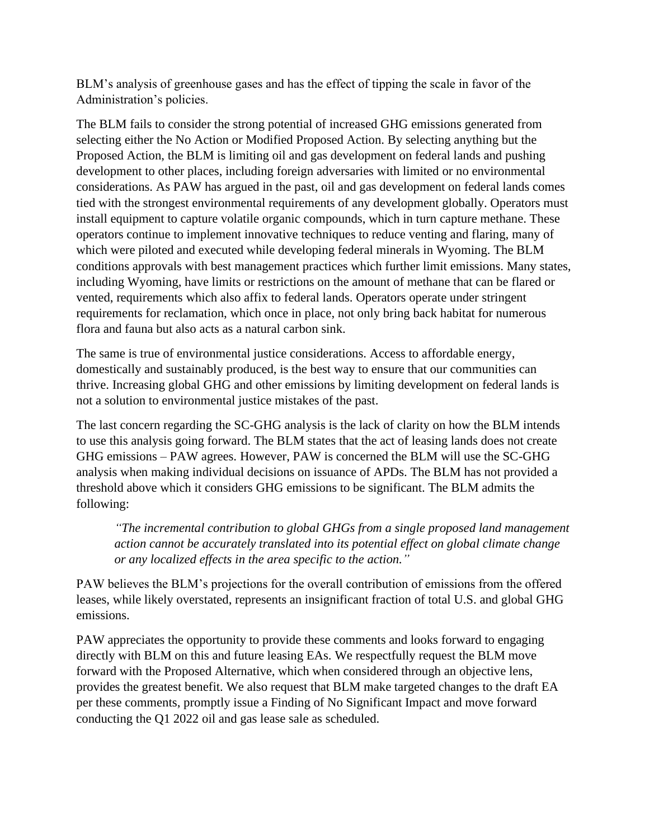BLM's analysis of greenhouse gases and has the effect of tipping the scale in favor of the Administration's policies.

The BLM fails to consider the strong potential of increased GHG emissions generated from selecting either the No Action or Modified Proposed Action. By selecting anything but the Proposed Action, the BLM is limiting oil and gas development on federal lands and pushing development to other places, including foreign adversaries with limited or no environmental considerations. As PAW has argued in the past, oil and gas development on federal lands comes tied with the strongest environmental requirements of any development globally. Operators must install equipment to capture volatile organic compounds, which in turn capture methane. These operators continue to implement innovative techniques to reduce venting and flaring, many of which were piloted and executed while developing federal minerals in Wyoming. The BLM conditions approvals with best management practices which further limit emissions. Many states, including Wyoming, have limits or restrictions on the amount of methane that can be flared or vented, requirements which also affix to federal lands. Operators operate under stringent requirements for reclamation, which once in place, not only bring back habitat for numerous flora and fauna but also acts as a natural carbon sink.

The same is true of environmental justice considerations. Access to affordable energy, domestically and sustainably produced, is the best way to ensure that our communities can thrive. Increasing global GHG and other emissions by limiting development on federal lands is not a solution to environmental justice mistakes of the past.

The last concern regarding the SC-GHG analysis is the lack of clarity on how the BLM intends to use this analysis going forward. The BLM states that the act of leasing lands does not create GHG emissions – PAW agrees. However, PAW is concerned the BLM will use the SC-GHG analysis when making individual decisions on issuance of APDs. The BLM has not provided a threshold above which it considers GHG emissions to be significant. The BLM admits the following:

*"The incremental contribution to global GHGs from a single proposed land management action cannot be accurately translated into its potential effect on global climate change or any localized effects in the area specific to the action."*

PAW believes the BLM's projections for the overall contribution of emissions from the offered leases, while likely overstated, represents an insignificant fraction of total U.S. and global GHG emissions.

PAW appreciates the opportunity to provide these comments and looks forward to engaging directly with BLM on this and future leasing EAs. We respectfully request the BLM move forward with the Proposed Alternative, which when considered through an objective lens, provides the greatest benefit. We also request that BLM make targeted changes to the draft EA per these comments, promptly issue a Finding of No Significant Impact and move forward conducting the Q1 2022 oil and gas lease sale as scheduled.